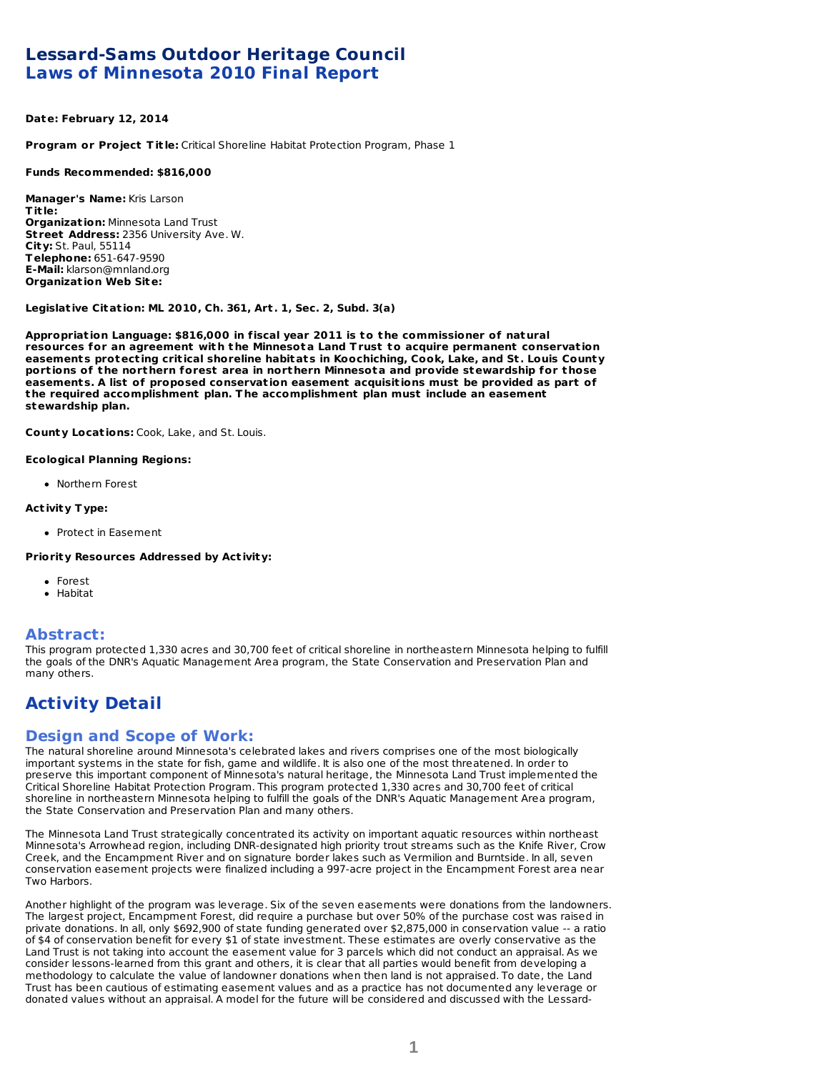# **Lessard-Sams Outdoor Heritage Council Laws of Minnesota 2010 Final Report**

### **Date: February 12, 2014**

**Program or Project Tit le:** Critical Shoreline Habitat Protection Program, Phase 1

### **Funds Recommended: \$816,000**

**Manager's Name:** Kris Larson **Tit le: Organizat ion:** Minnesota Land Trust **St reet Address:** 2356 University Ave. W. **City:** St. Paul, 55114 **Telephone:** 651-647-9590 **E-Mail:** klarson@mnland.org **Organizat ion Web Site:**

### **Legislat ive Citat ion: ML 2010, Ch. 361, Art . 1, Sec. 2, Subd. 3(a)**

**Appropriat ion Language: \$816,000 in fiscal year 2011 is to t he commissioner of nat ural resources for an agreement wit h t he Minnesota Land Trust to acquire permanent conservat ion easements protect ing crit ical shoreline habitats in Koochiching, Cook, Lake, and St . Louis County** portions of the northern forest area in northern Minnesota and provide stewardship for those **easements. A list of proposed conservat ion easement acquisit ions must be provided as part of t he required accomplishment plan. T he accomplishment plan must include an easement stewardship plan.**

**County Locat ions:** Cook, Lake, and St. Louis.

### **Ecological Planning Regions:**

Northern Forest

### **Act ivity Type:**

• Protect in Easement

### **Priority Resources Addressed by Act ivity:**

- Forest
- Habitat

### **Abstract:**

This program protected 1,330 acres and 30,700 feet of critical shoreline in northeastern Minnesota helping to fulfill the goals of the DNR's Aquatic Management Area program, the State Conservation and Preservation Plan and many others.

# **Activity Detail**

### **Design and Scope of Work:**

The natural shoreline around Minnesota's celebrated lakes and rivers comprises one of the most biologically important systems in the state for fish, game and wildlife. It is also one of the most threatened. In order to preserve this important component of Minnesota's natural heritage, the Minnesota Land Trust implemented the Critical Shoreline Habitat Protection Program. This program protected 1,330 acres and 30,700 feet of critical shoreline in northeastern Minnesota helping to fulfill the goals of the DNR's Aquatic Management Area program, the State Conservation and Preservation Plan and many others.

The Minnesota Land Trust strategically concentrated its activity on important aquatic resources within northeast Minnesota's Arrowhead region, including DNR-designated high priority trout streams such as the Knife River, Crow Creek, and the Encampment River and on signature border lakes such as Vermilion and Burntside. In all, seven conservation easement projects were finalized including a 997-acre project in the Encampment Forest area near Two Harbors.

Another highlight of the program was leverage. Six of the seven easements were donations from the landowners. The largest project, Encampment Forest, did require a purchase but over 50% of the purchase cost was raised in private donations. In all, only \$692,900 of state funding generated over \$2,875,000 in conservation value -- a ratio of \$4 of conservation benefit for every \$1 of state investment. These estimates are overly conservative as the Land Trust is not taking into account the easement value for 3 parcels which did not conduct an appraisal. As we consider lessons-learned from this grant and others, it is clear that all parties would benefit from developing a methodology to calculate the value of landowner donations when then land is not appraised. To date, the Land Trust has been cautious of estimating easement values and as a practice has not documented any leverage or donated values without an appraisal. A model for the future will be considered and discussed with the Lessard-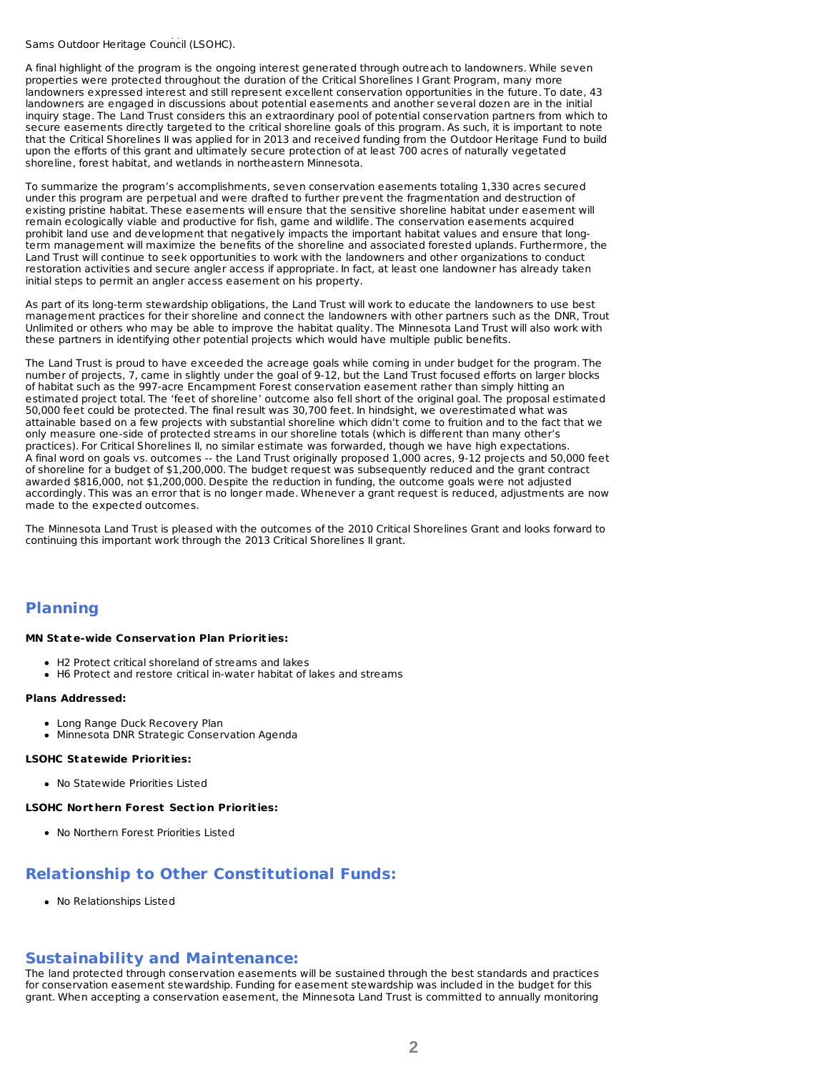donated values without an appraisal. A model for the future will be considered and discussed with the Lessard-Sams Outdoor Heritage Council (LSOHC).

A final highlight of the program is the ongoing interest generated through outreach to landowners. While seven properties were protected throughout the duration of the Critical Shorelines I Grant Program, many more landowners expressed interest and still represent excellent conservation opportunities in the future. To date, 43 landowners are engaged in discussions about potential easements and another several dozen are in the initial inquiry stage. The Land Trust considers this an extraordinary pool of potential conservation partners from which to secure easements directly targeted to the critical shoreline goals of this program. As such, it is important to note that the Critical Shorelines II was applied for in 2013 and received funding from the Outdoor Heritage Fund to build upon the efforts of this grant and ultimately secure protection of at least 700 acres of naturally vegetated shoreline, forest habitat, and wetlands in northeastern Minnesota.

To summarize the program's accomplishments, seven conservation easements totaling 1,330 acres secured under this program are perpetual and were drafted to further prevent the fragmentation and destruction of existing pristine habitat. These easements will ensure that the sensitive shoreline habitat under easement will remain ecologically viable and productive for fish, game and wildlife. The conservation easements acquired prohibit land use and development that negatively impacts the important habitat values and ensure that longterm management will maximize the benefits of the shoreline and associated forested uplands. Furthermore, the Land Trust will continue to seek opportunities to work with the landowners and other organizations to conduct restoration activities and secure angler access if appropriate. In fact, at least one landowner has already taken initial steps to permit an angler access easement on his property.

As part of its long-term stewardship obligations, the Land Trust will work to educate the landowners to use best management practices for their shoreline and connect the landowners with other partners such as the DNR, Trout Unlimited or others who may be able to improve the habitat quality. The Minnesota Land Trust will also work with these partners in identifying other potential projects which would have multiple public benefits.

The Land Trust is proud to have exceeded the acreage goals while coming in under budget for the program. The number of projects, 7, came in slightly under the goal of 9-12, but the Land Trust focused efforts on larger blocks of habitat such as the 997-acre Encampment Forest conservation easement rather than simply hitting an estimated project total. The 'feet of shoreline' outcome also fell short of the original goal. The proposal estimated 50,000 feet could be protected. The final result was 30,700 feet. In hindsight, we overestimated what was attainable based on a few projects with substantial shoreline which didn't come to fruition and to the fact that we only measure one-side of protected streams in our shoreline totals (which is different than many other's practices). For Critical Shorelines II, no similar estimate was forwarded, though we have high expectations. A final word on goals vs. outcomes -- the Land Trust originally proposed 1,000 acres, 9-12 projects and 50,000 feet of shoreline for a budget of \$1,200,000. The budget request was subsequently reduced and the grant contract awarded \$816,000, not \$1,200,000. Despite the reduction in funding, the outcome goals were not adjusted accordingly. This was an error that is no longer made. Whenever a grant request is reduced, adjustments are now made to the expected outcomes.

The Minnesota Land Trust is pleased with the outcomes of the 2010 Critical Shorelines Grant and looks forward to continuing this important work through the 2013 Critical Shorelines II grant.

## **Planning**

#### **MN State-wide Conservat ion Plan Priorit ies:**

- H2 Protect critical shoreland of streams and lakes
- H6 Protect and restore critical in-water habitat of lakes and streams

#### **Plans Addressed:**

- Long Range Duck Recovery Plan
- Minnesota DNR Strategic Conservation Agenda

#### **LSOHC Statewide Priorit ies:**

No Statewide Priorities Listed

### **LSOHC Nort hern Forest Sect ion Priorit ies:**

No Northern Forest Priorities Listed

## **Relationship to Other Constitutional Funds:**

No Relationships Listed

### **Sustainability and Maintenance:**

The land protected through conservation easements will be sustained through the best standards and practices for conservation easement stewardship. Funding for easement stewardship was included in the budget for this grant. When accepting a conservation easement, the Minnesota Land Trust is committed to annually monitoring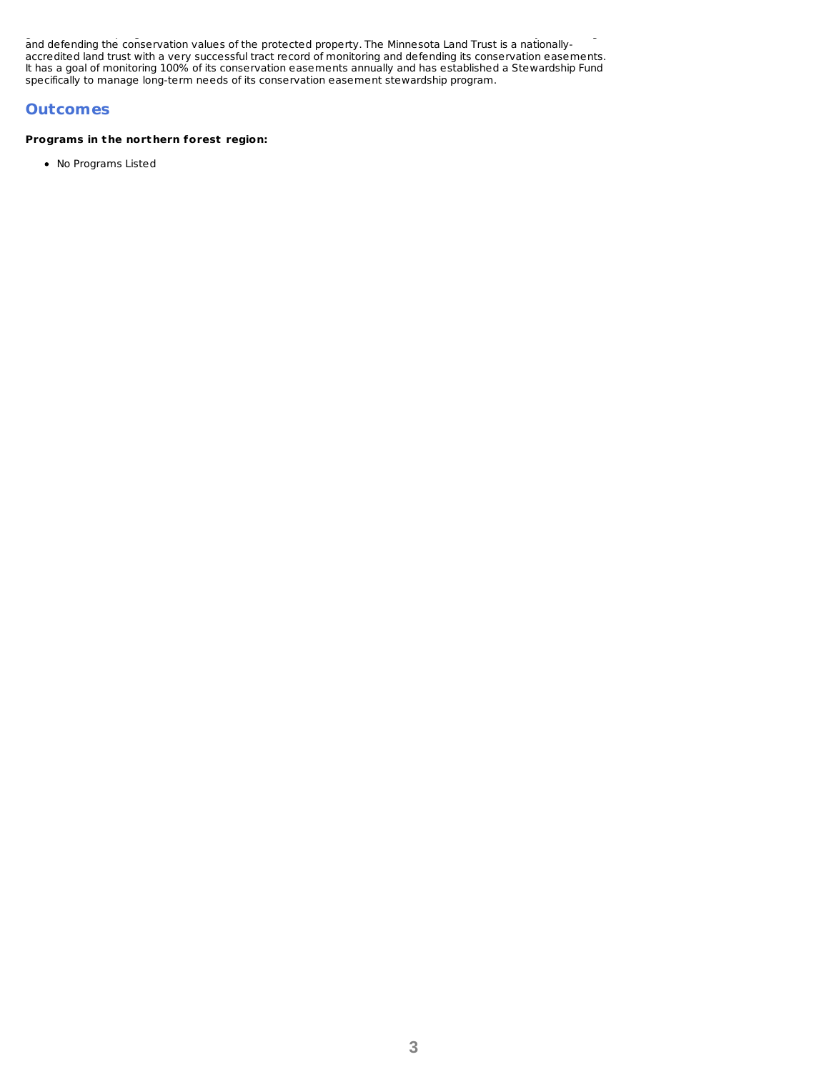grant. When accepting a conservation easement, the Minnesota Land Trust is committed to annually monitoring and defending the conservation values of the protected property. The Minnesota Land Trust is a nationallyaccredited land trust with a very successful tract record of monitoring and defending its conservation easements. It has a goal of monitoring 100% of its conservation easements annually and has established a Stewardship Fund specifically to manage long-term needs of its conservation easement stewardship program.

## **Outcomes**

### **Programs in t he nort hern forest region:**

No Programs Listed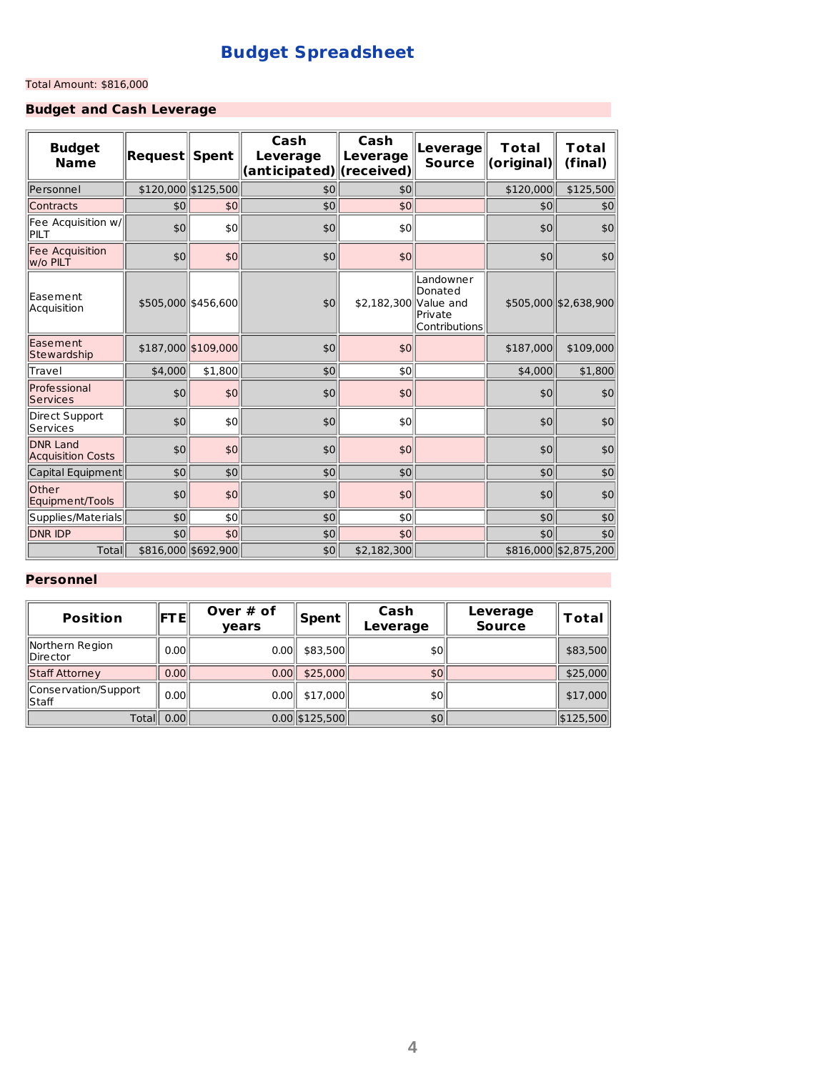# **Budget Spreadsheet**

### Total Amount: \$816,000

# **Budget and Cash Leverage**

| <b>Budget</b><br><b>Name</b>                | $\textsf{Request}$ | <b>Spent</b>        | Cash<br><b>Leverage</b><br>(anticipated) (received) | Cash<br>Leverage      | Leverage<br><b>Source</b>                        | Total<br>(original) | Total<br>(final)      |
|---------------------------------------------|--------------------|---------------------|-----------------------------------------------------|-----------------------|--------------------------------------------------|---------------------|-----------------------|
| <b>Personnel</b>                            |                    | \$120,000 \$125,500 | \$0                                                 | \$0                   |                                                  | \$120,000           | \$125,500             |
| Contracts                                   | \$0                | \$0                 | \$0                                                 | \$0                   |                                                  | \$0                 | \$0                   |
| Fee Acquisition w/<br><b>PILT</b>           | \$0                | \$0                 | \$0                                                 | \$0                   |                                                  | \$0                 | \$0                   |
| Fee Acquisition<br>w/o PILT                 | \$0                | \$0                 | \$0                                                 | \$0                   |                                                  | \$0                 | \$0                   |
| lEasement<br>Acquisition                    |                    | \$505,000 \$456,600 | \$0                                                 | \$2,182,300 Value and | Landowner<br>Donated<br>Private<br>Contributions |                     | \$505,000 \$2,638,900 |
| Easement<br>Stewardship                     |                    | \$187,000 \$109,000 | \$0                                                 | \$0                   |                                                  | \$187,000           | \$109,000             |
| Travel                                      | \$4,000            | \$1,800             | \$0                                                 | \$0                   |                                                  | \$4,000             | \$1,800               |
| Professional<br>Services                    | \$0                | \$0                 | \$0                                                 | \$0                   |                                                  | \$0                 | \$0                   |
| Direct Support<br>lServices                 | \$0                | \$0                 | \$0                                                 | \$0                   |                                                  | \$0                 | \$0                   |
| <b>DNR Land</b><br><b>Acquisition Costs</b> | \$0                | \$0                 | \$0                                                 | \$0                   |                                                  | \$0                 | 50                    |
| Capital Equipment                           | \$0                | \$0                 | \$0                                                 | \$0                   |                                                  | \$0                 | \$0                   |
| Other<br>Equipment/Tools                    | \$0                | \$0                 | \$0                                                 | \$0                   |                                                  | \$0                 | \$0                   |
| Supplies/Materials                          | \$0                | \$0                 | \$0                                                 | \$0                   |                                                  | \$0                 | \$0                   |
| <b>DNR IDP</b>                              | \$0                | \$0                 | \$0                                                 | \$0                   |                                                  | \$0                 | \$0                   |
| Total                                       |                    | \$816,000 \$692,900 | \$0                                                 | \$2,182,300           |                                                  |                     | \$816,000 \$2,875,200 |

## **Personnel**

| <b>Position</b>                     | <b>FTE</b> | Over $#$ of<br>vears | Spent            | Cash<br>Leverage | Leverage<br><b>Source</b> | Total     |
|-------------------------------------|------------|----------------------|------------------|------------------|---------------------------|-----------|
| Northern Region<br><b>IDirector</b> | 0.00       | 0.00                 | \$83,500         | \$0              |                           | \$83,500  |
| Staff Attorney                      | 0.00       | 0.00                 | \$25,000         | \$0              |                           | \$25,000  |
| Conservation/Support<br>llStaff     | 0.00       | 0.00                 | \$17,000         | \$0              |                           | \$17,000  |
|                                     | Total 0.00 |                      | $0.00$ \$125,500 | \$0              |                           | \$125,500 |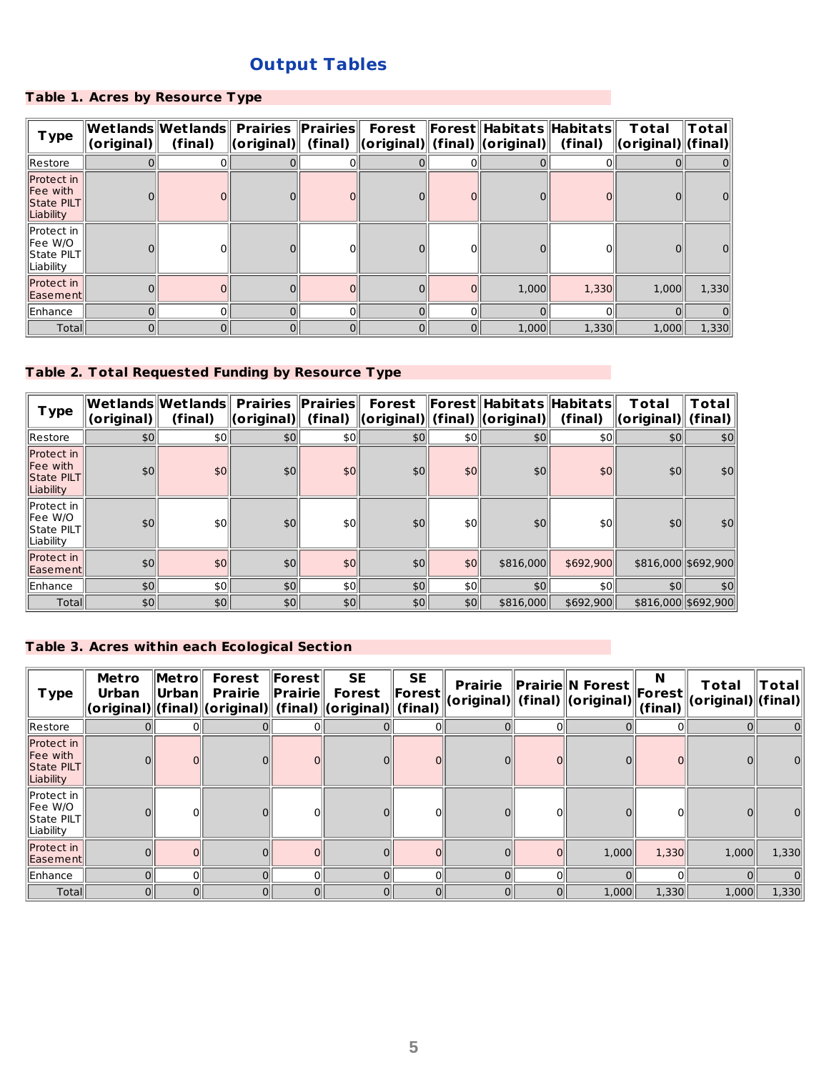# **Output Tables**

## **Table 1. Acres by Resource Type**

| <b>Type</b>                                       | (original) | $\bm{\mathsf{W}\text{-}\mathsf{et}}$ lands $\bm{\mathsf{W}\text{-}\mathsf{et}}$ lands $\bm{\mathsf{F}}$ Prairi $\bm{\mathsf{e}\text{-}\mathsf{F}}$<br>(final) | $\ $ (original) $\ $ (final) $\ $ (original) $\ $ (final) $\ $ (original) $\ $ |                |   |   | Forest   Forest  Habitats  Habitats | (final) | Total<br>$\ $ (original) $\ $ (final) $\ $ | Totall |
|---------------------------------------------------|------------|---------------------------------------------------------------------------------------------------------------------------------------------------------------|--------------------------------------------------------------------------------|----------------|---|---|-------------------------------------|---------|--------------------------------------------|--------|
| Restore                                           |            |                                                                                                                                                               |                                                                                |                |   |   |                                     |         |                                            |        |
| Protect in<br>Fee with<br>State PILT<br>Liability |            |                                                                                                                                                               |                                                                                |                |   |   |                                     |         |                                            |        |
| Protect in<br>Fee W/O<br>State PILT<br>Liability  |            |                                                                                                                                                               |                                                                                |                |   |   |                                     |         |                                            |        |
| Protect in<br>Easement                            |            |                                                                                                                                                               |                                                                                |                |   |   | 1,000                               | 1,330   | 1,000                                      | 1,330  |
| Enhance                                           |            |                                                                                                                                                               | $\Omega$                                                                       | 0              |   |   |                                     |         |                                            |        |
| Totall                                            | $\Omega$   | 0                                                                                                                                                             | 0                                                                              | $\overline{0}$ | 0 | 0 | 1,000                               | 1,330   | 1,000                                      | 1,330  |

# **Table 2. Total Requested Funding by Resource Type**

| T ype                                                           | (original) | $\left\  \mathsf{Wet} \right\ $ ands $\left\  \mathsf{Wet} \right\ $ Prairies<br>(final) | $\ $ (original) $\ $ (final) | $\ $ Prairies $\ $ | <b>Forest</b><br>$\ $ (original) $\ $ (final) $\ $ (original) $\ $ |                  | Forest   Habitats  Habitats | (final)   | Total<br>$\ $ (original) $\ $ | Total<br>(final)    |
|-----------------------------------------------------------------|------------|------------------------------------------------------------------------------------------|------------------------------|--------------------|--------------------------------------------------------------------|------------------|-----------------------------|-----------|-------------------------------|---------------------|
| <b>IRestore</b>                                                 | \$0        | \$0                                                                                      | \$0                          | \$0                | \$0                                                                | \$0 <sub>1</sub> | \$0                         | \$0∥      | \$0                           | \$0                 |
| <b>Protect</b> in<br><b>Fee</b> with<br>State PILT<br>Liability | \$0        | \$0                                                                                      | \$0                          | \$0 <sub>1</sub>   | \$0                                                                | \$0              | \$0 <sub>1</sub>            | \$0       | \$0                           | \$0                 |
| llProtect in<br>llFee W/O<br>$\ $ State PILT $\ $<br>Liability  | \$0        | \$0 <sub>1</sub>                                                                         | \$0 <sub>1</sub>             | \$0 <sub>1</sub>   | \$0                                                                | \$0 <sub>0</sub> | \$0                         | \$0       | \$0                           | \$0 <sub>1</sub>    |
| Protect in<br><b>IEasement</b>                                  | \$0        | \$0                                                                                      | \$0                          | \$0                | \$0                                                                | \$0              | \$816,000                   | \$692,900 |                               | \$816,000 \$692,900 |
| Enhance                                                         | 50         | \$0                                                                                      | \$0                          | \$0                | 90                                                                 | \$0              | 10                          | \$0       | \$0                           | \$0                 |
| Totall                                                          | \$0        | \$0                                                                                      | \$0                          | \$0                | \$0                                                                | \$0              | \$816,000                   | \$692,900 |                               | \$816,000 \$692,900 |

## **Table 3. Acres within each Ecological Section**

| <b>Type</b>                                       | <b>Metro</b><br><b>Urban</b> | $\ $ Metro $\ $<br>∥Urban∥ | <b>Forest</b><br><b>Prairie</b><br>(original) (final) (original) (final) (original) (final) | $\ $ Forest $\ $<br>$\ $ Prairie $\ $ | <b>SE</b><br><b>Forest</b> | <b>SE</b><br>$\ $ Forest $\ $ | <b>Prairie</b> | $\ $ Prairie $\ $ N Forest $\ $<br>(original)   (final)    (original) | N<br>$\ $ Forest $\ $<br>(final) | Total<br>(original)  (final) | $T$ otal |
|---------------------------------------------------|------------------------------|----------------------------|---------------------------------------------------------------------------------------------|---------------------------------------|----------------------------|-------------------------------|----------------|-----------------------------------------------------------------------|----------------------------------|------------------------------|----------|
| Restore                                           |                              |                            |                                                                                             |                                       |                            |                               |                |                                                                       |                                  |                              | 0        |
| Protect in<br>Fee with<br>State PILT<br>Liability |                              |                            |                                                                                             |                                       |                            |                               |                |                                                                       |                                  |                              | 0        |
| Protect in<br>Fee W/O<br>State PILT<br>Liability  |                              |                            |                                                                                             |                                       |                            |                               |                |                                                                       |                                  |                              | 0        |
| Protect in<br>Easement                            |                              | $\Omega$                   |                                                                                             |                                       |                            |                               | $\mathbf{0}$   | 1,000                                                                 | 1,330                            | 1,000                        | 1,330    |
| Enhance                                           |                              | $\Omega$                   |                                                                                             |                                       | $\Omega$                   |                               | $\Omega$       |                                                                       |                                  |                              | 0        |
| Total                                             | $\Omega$                     | $\Omega$                   |                                                                                             |                                       | $\Omega$                   | 0                             | 0              | 1,000                                                                 | 1,330                            | 1,000                        | 1,330    |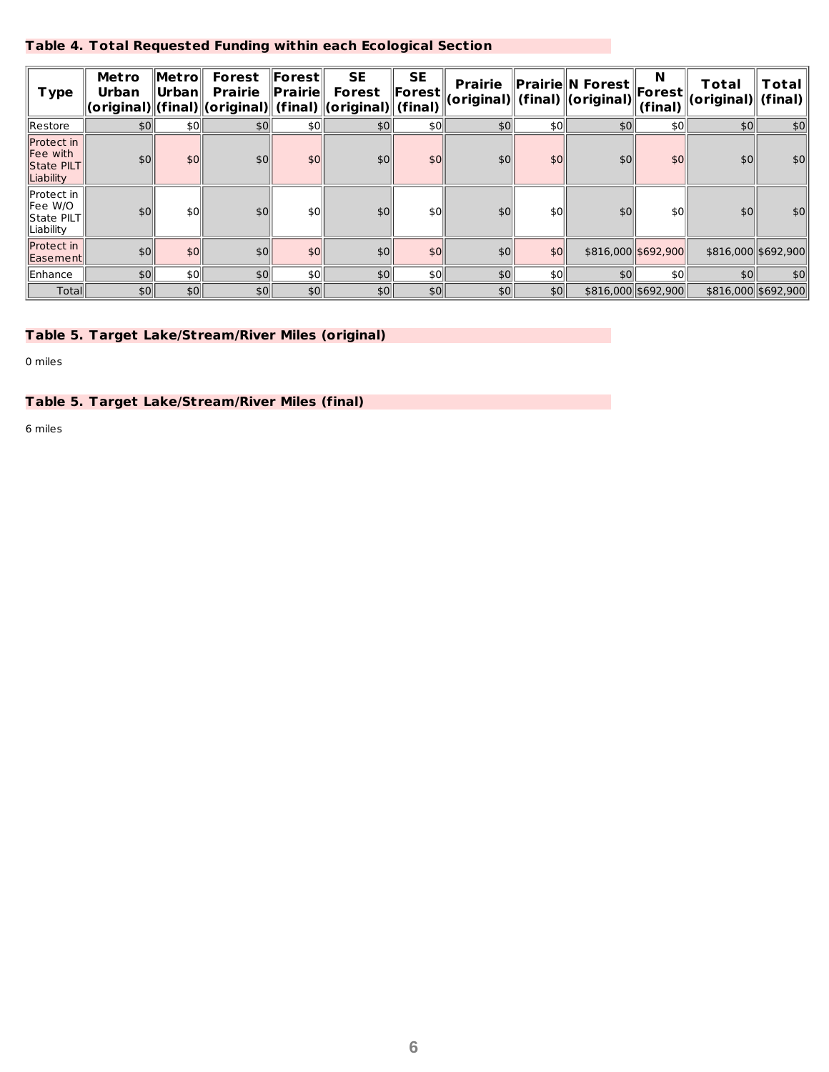## **Table 4. Total Requested Funding within each Ecological Section**

| <b>Type</b>                                       | <b>Metro</b><br>Urban | $\ $ Metro $\ $<br>$ $ Urban $\ $ | <b>Forest</b><br><b>Prairie</b> | ∥Forest⊧<br>$\ $ Prairie | <b>SE</b><br><b>Forest</b><br> (original)  (final)  (original)   (final)   (original)   (final) | <b>SE</b><br>$\ $ Forest $\ $ | <b>Prairie</b> |                  | $\ $ Prairie $\ $ N Forest $\ $ ,<br>(original)   (final)    (original) | N<br>$\ $ Forest $\ $<br>(final) | Total<br>(original) | Total<br>(final) |
|---------------------------------------------------|-----------------------|-----------------------------------|---------------------------------|--------------------------|-------------------------------------------------------------------------------------------------|-------------------------------|----------------|------------------|-------------------------------------------------------------------------|----------------------------------|---------------------|------------------|
| Restore                                           | \$0 <sub>1</sub>      | \$0                               | 50                              | \$0                      | \$0                                                                                             | \$0                           | \$0            | \$0 <sub>1</sub> | \$0                                                                     | \$0                              | \$0                 | $ 10\rangle$     |
| Protect in<br>Fee with<br>State PILT<br>Liability | 50                    | \$0                               | \$0                             | \$0                      | \$0                                                                                             | \$0                           | \$0            | \$0              | \$0 <sub>1</sub>                                                        | \$0                              | \$0                 | \$0              |
| Protect in<br>Fee W/O<br>State PILT<br>Liability  | \$0                   | \$0                               | \$0                             | \$0                      | \$0                                                                                             | \$0                           | \$0            | \$0 <sub>1</sub> | \$0 <sub>1</sub>                                                        | \$0                              | \$0                 | 50               |
| Protect in<br>Easement                            | \$0 <sub>0</sub>      | \$0                               | \$0                             | \$0                      | \$0                                                                                             | \$0                           | \$0            | \$0              |                                                                         | \$816,000 \$692,900              | \$816,000 \$692,900 |                  |
| Enhance                                           | 50                    | \$0 <sub>1</sub>                  | 50                              | \$0                      | \$0                                                                                             | \$0                           | 50             | \$0              | \$0 <sub>0</sub>                                                        | \$0                              | 50                  | 50               |
| <b>Total</b>                                      | \$0 <sub>1</sub>      | \$0                               | \$0                             | \$0                      | \$0                                                                                             | \$0 <sub>1</sub>              | \$0            | \$0              |                                                                         | \$816,000 \$692,900              | \$816,000 \$692,900 |                  |

## **Table 5. Target Lake/Stream/River Miles (original)**

0 miles

## **Table 5. Target Lake/Stream/River Miles (final)**

6 miles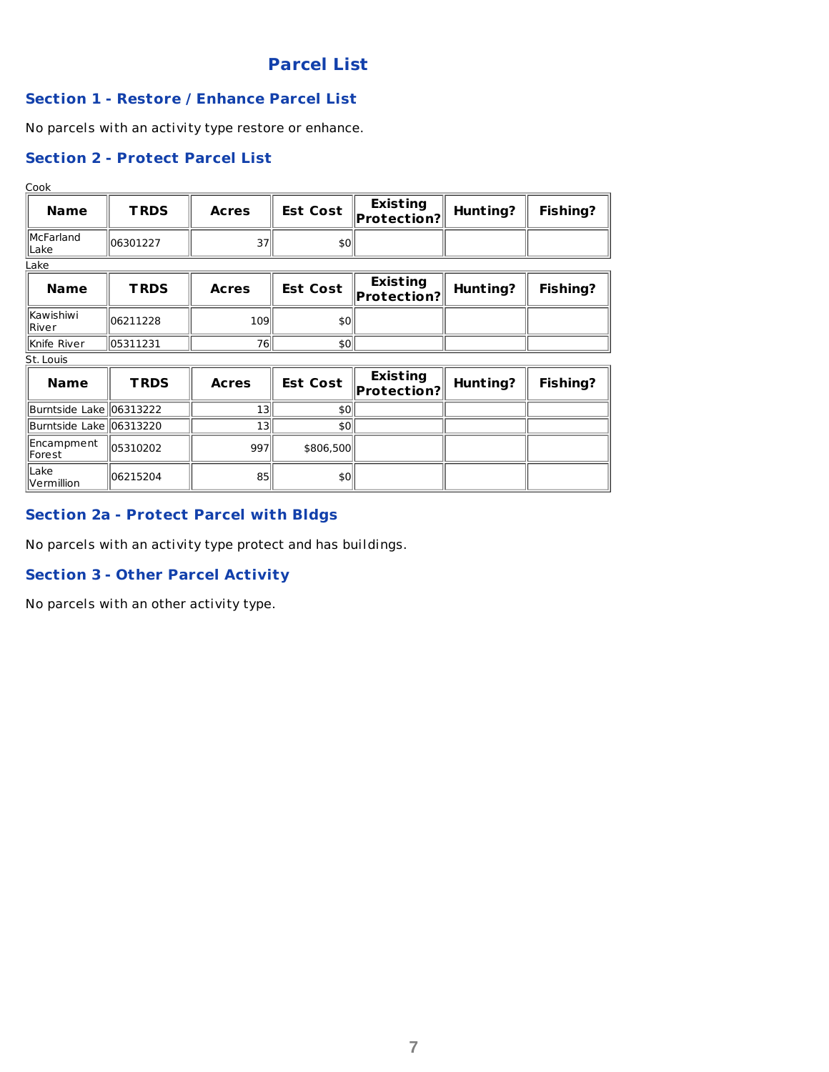# **Parcel List**

## **Section 1 - Restore / Enhance Parcel List**

No parcels with an activity type restore or enhance.

# **Section 2 - Protect Parcel List**

Cook

| <b>Name</b>                | <b>TRDS</b> | <b>Acres</b> |     | <b>Est Cost</b> $\left\  \begin{matrix} \text{Existing} \\ \text{Protection?} \end{matrix} \right\ $ | <b>Hunting?</b> | <b>Fishing?</b> |
|----------------------------|-------------|--------------|-----|------------------------------------------------------------------------------------------------------|-----------------|-----------------|
| <b>IMcFarland</b><br>lLake | 106301227   | 37           | \$0 |                                                                                                      |                 |                 |
| Lake                       |             |              |     |                                                                                                      |                 |                 |

| <b>Name</b>            | <b>TRDS</b> | <b>Acres</b> | <b>Est Cost</b> | <b>Existing</b><br>$\ $ Protection? $\ $ | Hunting? | <b>Fishing?</b> |
|------------------------|-------------|--------------|-----------------|------------------------------------------|----------|-----------------|
| llKawishiwi<br>llRiver | 106211228   | 109          | \$0             |                                          |          |                 |
| <b>IKnife River</b>    | 105311231   | 76           | \$0             |                                          |          |                 |

St. Louis

| <b>Name</b>                       | <b>TRDS</b>          | <b>Acres</b> | <b>Est Cost</b> | <b>Existing</b><br>$\ $ Protection? $\ $ | Hunting? | <b>Fishing?</b> |
|-----------------------------------|----------------------|--------------|-----------------|------------------------------------------|----------|-----------------|
| Burntside Lake   06313222         |                      | 13           | \$0             |                                          |          |                 |
| Burntside Lake 06313220           |                      | 13           | \$0             |                                          |          |                 |
| Encampment<br>llForest            | $\parallel$ 05310202 | 997          | \$806,500       |                                          |          |                 |
| Lake<br>$\blacksquare$ Vermillion | 106215204            | 85           | \$0             |                                          |          |                 |

# **Section 2a - Protect Parcel with Bldgs**

No parcels with an activity type protect and has buildings.

## **Section 3 - Other Parcel Activity**

No parcels with an other activity type.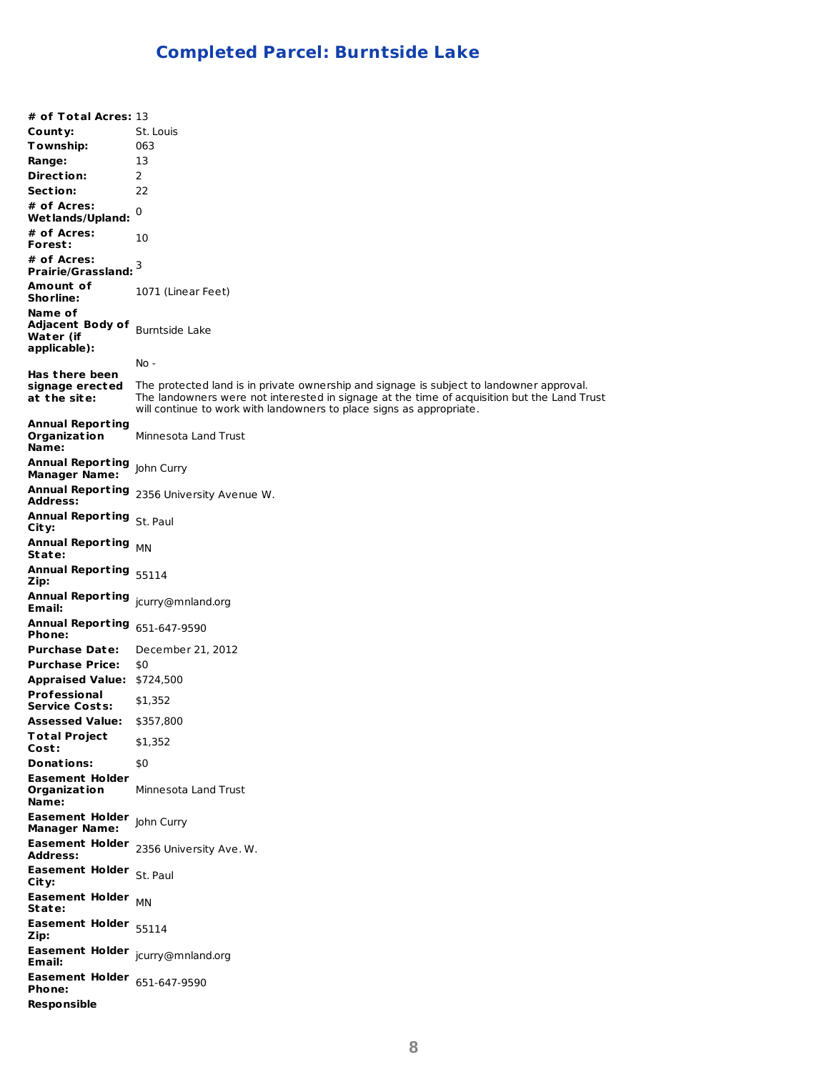# **Completed Parcel: Burntside Lake**

**# of Total Acres:** 13 **County:** St. Louis **Township:** 063 **Range:** 13 **Direct ion:** 2 **Sect ion:** 22 **# of Acres: Wet lands/Upland:** 0 **# of Acres: Forest :** 10 **# of Acres: Prairie/Grassland:** 3 **Amount of Shorline:** 1071 (Linear Feet) **Name of Adjacent Body of** Burntside Lake **Water (if applicable): Has t here been signage erected at t he site:** No - The protected land is in private ownership and signage is subject to landowner approval. The landowners were not interested in signage at the time of acquisition but the Land Trust will continue to work with landowners to place signs as appropriate. **Annual Report ing Organizat ion Name:** Minnesota Land Trust **Annual Report ing** John Curry **Manager Name: Annual Report ing** 2356 University Avenue W. **Address: Annual Report ing** St. Paul **City: Annual Report ing State:** MN **Annual Report ing** 55114 **Zip: Annual Report ing** jcurry@mnland.org **Email: Annual Report ing** 651-647-9590 **Phone: Purchase Date:** December 21, 2012 **Purchase Price:** \$0 **Appraised Value:** \$724,500 **Professional Service Costs:** \$1,352 **Assessed Value:** \$357,800 **Total Project Cost :** \$1,352 **Donations:** \$0 **Easement Holder Organizat ion Name:** Minnesota Land Trust **Easement Holder** John Curry **Manager Name: Easement Holder Address:** 2356 University Ave. W. **Easement Holder** St. Paul **City: Easement Holder State:** MN **Easement Holder** 55114 **Zip: Easement Holder** jcurry@mnland.org **Email: Easement Holder** 651-647-9590 **Phone: Responsible**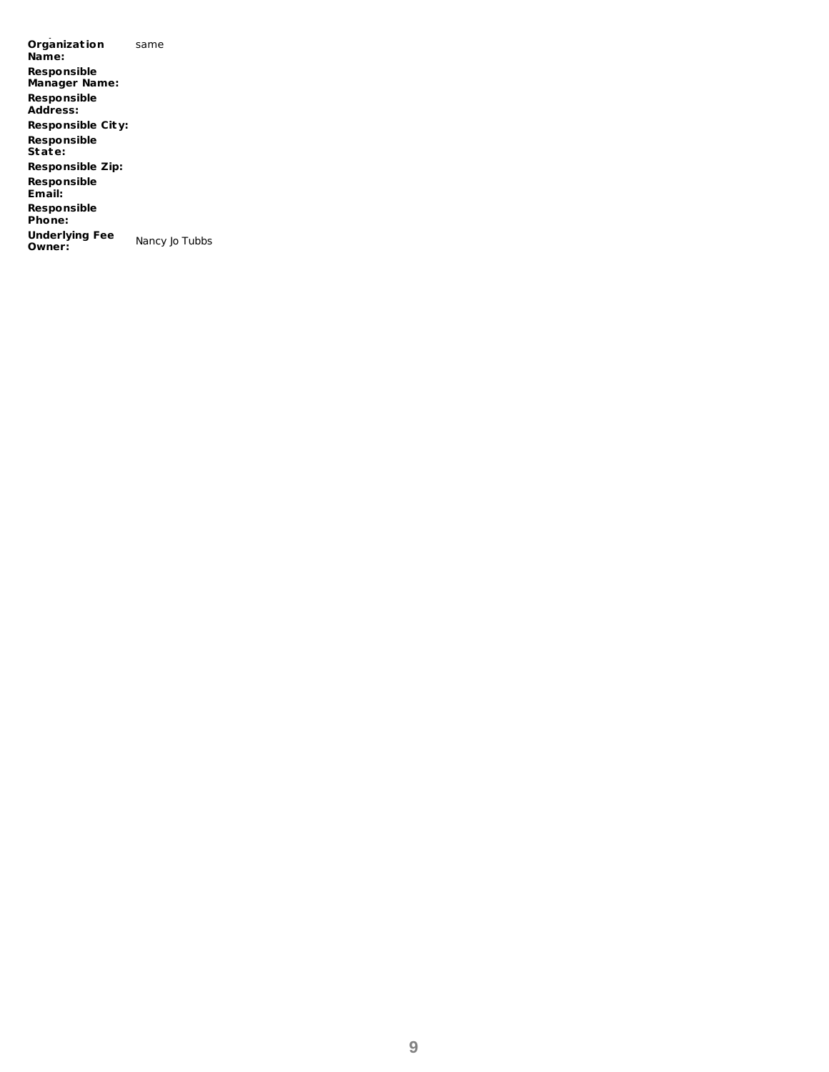**Organizat ion Name:** same **Responsible Manager Name: Responsible Address: Responsible City: Responsible State: Responsible Zip: Responsible Email: Responsible Phone: Underlying Fee Owner:** Nancy Jo Tubbs

**Responsible**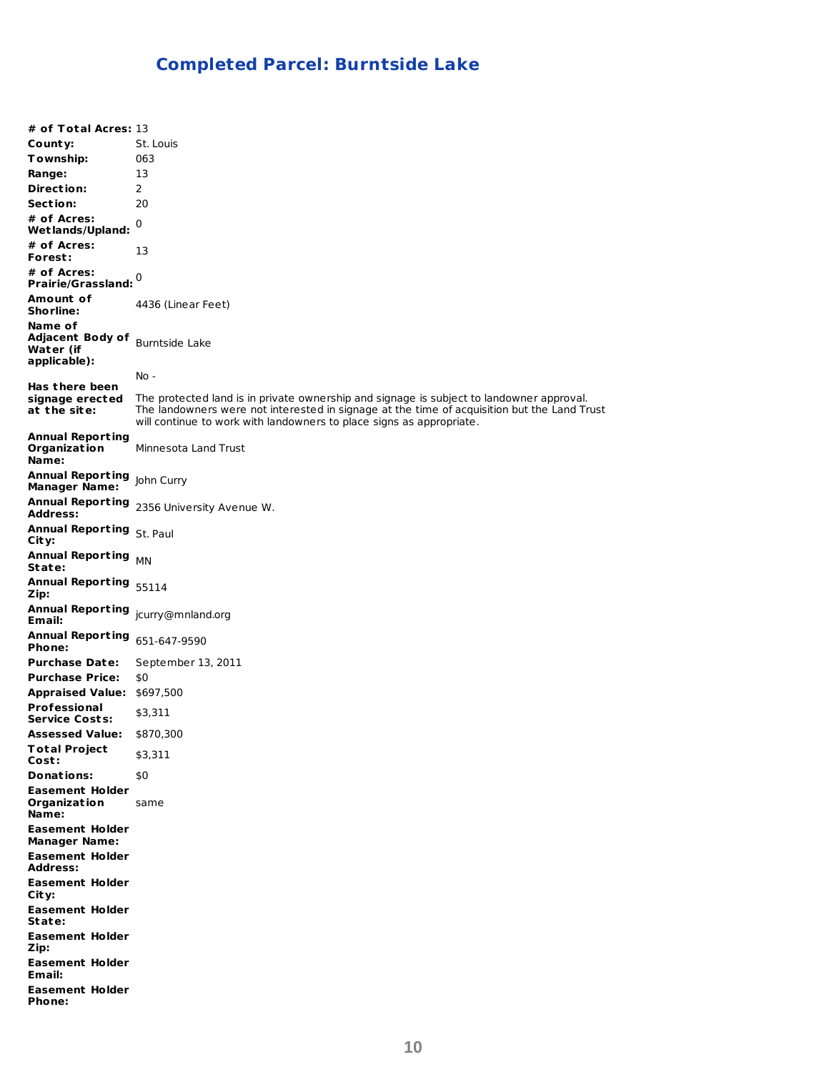# **Completed Parcel: Burntside Lake**

**# of Total Acres:** 13 **County:** St. Louis **Township:** 063 **Range:** 13 **Direct ion:** 2 **Sect ion:** 20 **# of Acres: Wet lands/Upland:** 0 **# of Acres: Forest :** 13 **# of Acres: Prairie/Grassland:** 0 **Amount of Shorline:** 4436 (Linear Feet) **Name of Adjacent Body of** Burntside Lake **Water (if applicable): Has t here been signage erected at t he site:** No - The protected land is in private ownership and signage is subject to landowner approval. The landowners were not interested in signage at the time of acquisition but the Land Trust will continue to work with landowners to place signs as appropriate. **Annual Report ing Organizat ion Name:** Minnesota Land Trust **Annual Report ing** John Curry **Manager Name: Annual Report ing Address:** 2356 University Avenue W. **Annual Report ing** St. Paul **City: Annual Report ing State:** MN **Annual Report ing** 55114 **Zip: Annual Report ing** jcurry@mnland.org **Email: Annual Report ing** 651-647-9590 **Phone: Purchase Date:** September 13, 2011 **Purchase Price:** \$0 **Appraised Value:** \$697,500 **Professional Service Costs:** \$3,311 **Assessed Value:** \$870,300 **Total Project Cost :** \$3,311 **Donations:** \$0 **Easement Holder Organizat ion Name:** same **Easement Holder Manager Name: Easement Holder Address: Easement Holder City: Easement Holder State: Easement Holder Zip: Easement Holder Email: Easement Holder Phone:**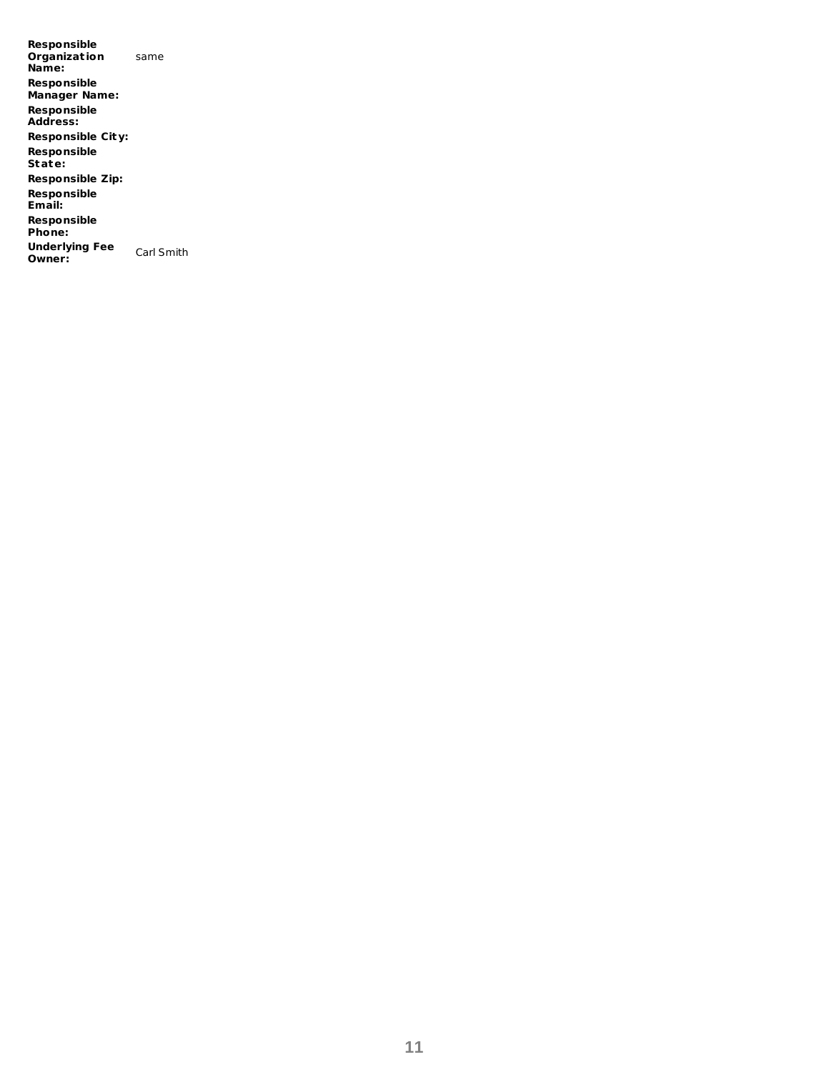**Responsible Organizat ion Name:** same **Responsible Manager Name: Responsible Address: Responsible City: Responsible State: Responsible Zip: Responsible Email: Responsible Phone: Underlying Fee Owner:** Carl Smith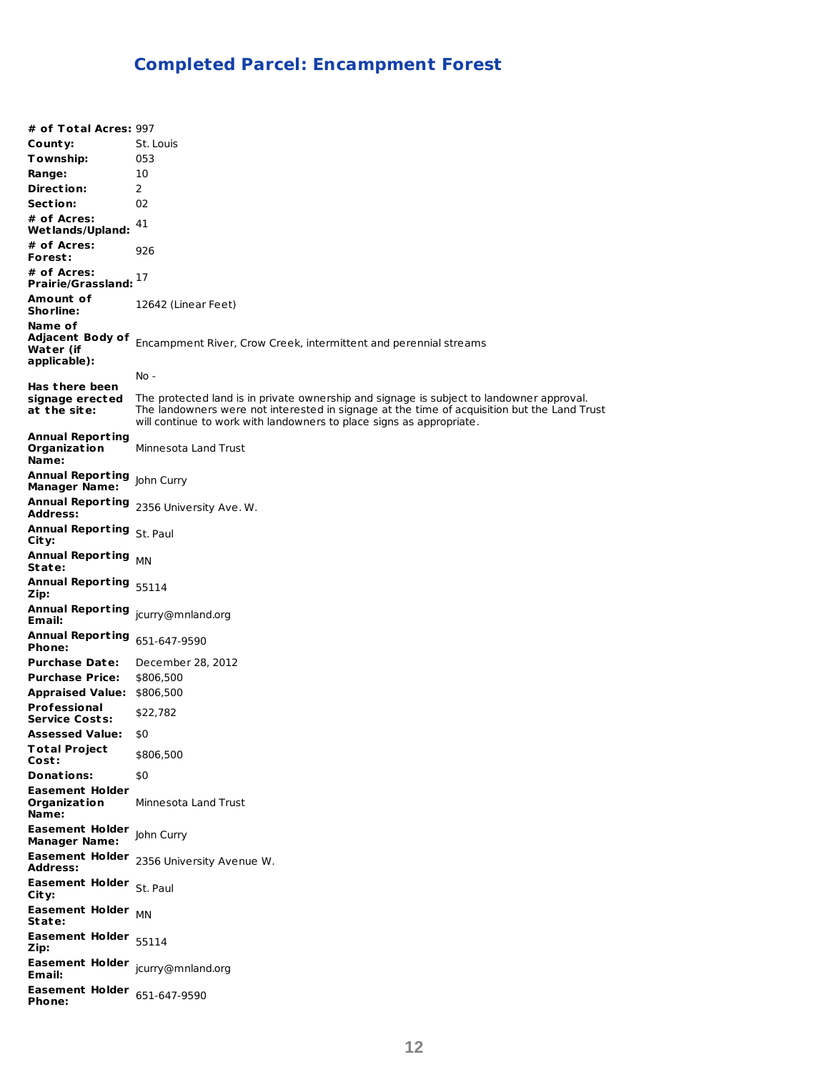# **Completed Parcel: Encampment Forest**

| # of Total Acres: 997                                           |                                                                                                                                                                                                                                                                 |
|-----------------------------------------------------------------|-----------------------------------------------------------------------------------------------------------------------------------------------------------------------------------------------------------------------------------------------------------------|
| County:                                                         | St. Louis                                                                                                                                                                                                                                                       |
| Township:                                                       | 053                                                                                                                                                                                                                                                             |
| Range:                                                          | 10                                                                                                                                                                                                                                                              |
| Direction:                                                      | $\overline{2}$                                                                                                                                                                                                                                                  |
| Section:                                                        | 02                                                                                                                                                                                                                                                              |
| # of Acres:<br><b>Wetlands/Upland:</b>                          | 41                                                                                                                                                                                                                                                              |
| # of Acres:<br>Forest:                                          | 926                                                                                                                                                                                                                                                             |
| # of Acres:<br>Prairie/Grassland: $^{17}$                       |                                                                                                                                                                                                                                                                 |
| Amount of<br><b>Shorline:</b>                                   | 12642 (Linear Feet)                                                                                                                                                                                                                                             |
| Name of<br><b>Adjacent Body of</b><br>Water (if<br>applicable): | Encampment River, Crow Creek, intermittent and perennial streams                                                                                                                                                                                                |
|                                                                 | No -                                                                                                                                                                                                                                                            |
| Has there been<br>signage erected<br>at the site:               | The protected land is in private ownership and signage is subject to landowner approval.<br>The landowners were not interested in signage at the time of acquisition but the Land Trust<br>will continue to work with landowners to place signs as appropriate. |
| <b>Annual Reporting</b><br>Organization<br>Name:                | Minnesota Land Trust                                                                                                                                                                                                                                            |
| <b>Annual Reporting</b> John Curry<br><b>Manager Name:</b>      |                                                                                                                                                                                                                                                                 |
| <b>Address:</b>                                                 | Annual Reporting 2356 University Ave. W.                                                                                                                                                                                                                        |
| Annual Reporting St. Paul<br>City:                              |                                                                                                                                                                                                                                                                 |
| Annual Reporting MN<br>State:                                   |                                                                                                                                                                                                                                                                 |
| Annual Reporting 55114<br>Zip:                                  |                                                                                                                                                                                                                                                                 |
| <b>Annual Reporting</b><br>Email:                               | jcurry@mnland.org                                                                                                                                                                                                                                               |
| <b>Annual Reporting</b><br>Phone:                               | 651-647-9590                                                                                                                                                                                                                                                    |
| <b>Purchase Date:</b>                                           | December 28, 2012                                                                                                                                                                                                                                               |
| <b>Purchase Price:</b>                                          | \$806,500                                                                                                                                                                                                                                                       |
| Appraised Value: \$806,500                                      |                                                                                                                                                                                                                                                                 |
| <b>Professional</b><br><b>Service Costs:</b>                    | \$22,782                                                                                                                                                                                                                                                        |
| <b>Assessed Value:</b>                                          | \$0                                                                                                                                                                                                                                                             |
| <b>Total Project</b><br>Cost:                                   | \$806,500                                                                                                                                                                                                                                                       |
| Donations:                                                      | \$0                                                                                                                                                                                                                                                             |
| <b>Easement Holder</b><br><b>Organization</b><br>Name:          | Minnesota Land Trust                                                                                                                                                                                                                                            |
| <b>Easement Holder</b><br><b>Manager Name:</b>                  | John Curry                                                                                                                                                                                                                                                      |
| <b>Address:</b>                                                 | Easement Holder 2356 University Avenue W.                                                                                                                                                                                                                       |
| Easement Holder St. Paul<br>City:                               |                                                                                                                                                                                                                                                                 |
| Easement Holder MN<br>State:                                    |                                                                                                                                                                                                                                                                 |
| Easement Holder 55114<br>Zip:                                   |                                                                                                                                                                                                                                                                 |
| Easement Holder jcurry@mnland.org<br>Email:                     |                                                                                                                                                                                                                                                                 |
| <b>Easement Holder</b> $651-647-9590$<br>Phone:                 |                                                                                                                                                                                                                                                                 |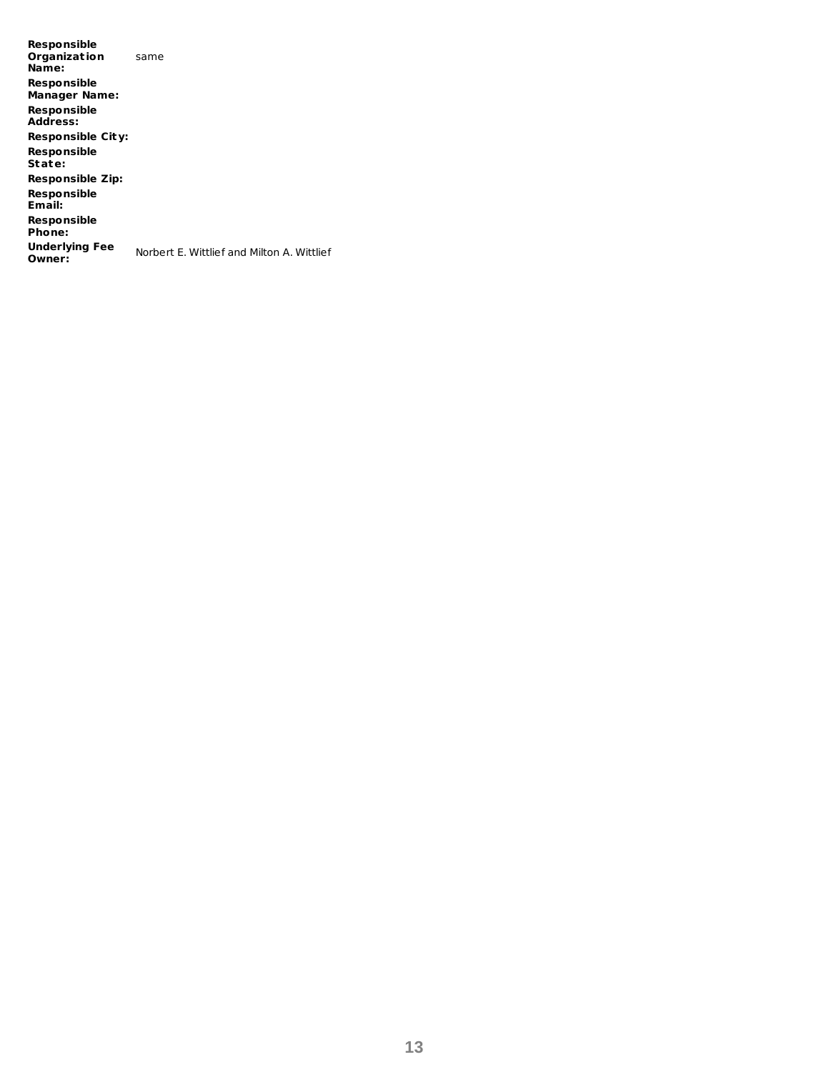**Responsible Organizat ion Name:** same **Responsible Manager Name: Responsible Address: Responsible City: Responsible State: Responsible Zip: Responsible Email: Responsible Phone: Underlying Fee Owner:** Norbert E. Wittlief and Milton A. Wittlief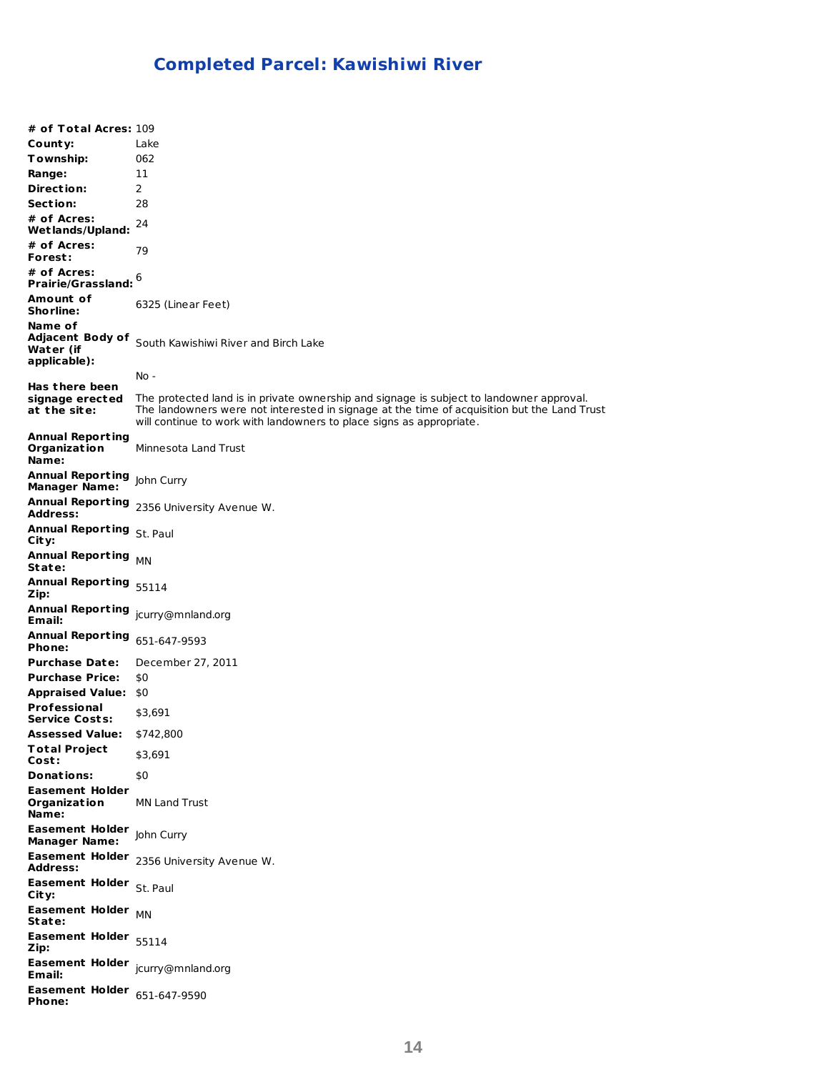# **Completed Parcel: Kawishiwi River**

| # of Total Acres: 109                                    |                                                                                                                                                                                                                                                                 |
|----------------------------------------------------------|-----------------------------------------------------------------------------------------------------------------------------------------------------------------------------------------------------------------------------------------------------------------|
| County:                                                  | Lake                                                                                                                                                                                                                                                            |
| Township:                                                | 062                                                                                                                                                                                                                                                             |
| Range:                                                   | 11                                                                                                                                                                                                                                                              |
| Direction:                                               | 2                                                                                                                                                                                                                                                               |
| Section:                                                 | 28                                                                                                                                                                                                                                                              |
| # of Acres:<br>Wetlands/Upland:                          | 24                                                                                                                                                                                                                                                              |
| # of Acres:<br>Forest:                                   | 79                                                                                                                                                                                                                                                              |
| # of Acres:<br>Prairie/Grassland: $^6$                   |                                                                                                                                                                                                                                                                 |
| Amount of                                                |                                                                                                                                                                                                                                                                 |
| <b>Shorline:</b>                                         | 6325 (Linear Feet)                                                                                                                                                                                                                                              |
| Name of<br>Adjacent Body of<br>Water (if<br>applicable): | South Kawishiwi River and Birch Lake                                                                                                                                                                                                                            |
|                                                          | No -                                                                                                                                                                                                                                                            |
| Has there been<br>signage erected<br>at the site:        | The protected land is in private ownership and signage is subject to landowner approval.<br>The landowners were not interested in signage at the time of acquisition but the Land Trust<br>will continue to work with landowners to place signs as appropriate. |
| <b>Annual Reporting</b><br>Organization<br>Name:         | Minnesota Land Trust                                                                                                                                                                                                                                            |
| <b>Annual Reporting</b><br><b>Manager Name:</b>          | John Curry                                                                                                                                                                                                                                                      |
| <b>Address:</b>                                          | Annual Reporting 2356 University Avenue W.                                                                                                                                                                                                                      |
| Annual Reporting St. Paul<br>City:                       |                                                                                                                                                                                                                                                                 |
| <b>Annual Reporting</b><br>State:                        | <b>MN</b>                                                                                                                                                                                                                                                       |
| Annual Reporting 55114<br>Zip:                           |                                                                                                                                                                                                                                                                 |
| Annual Reporting jcurry@mnland.org<br>Email:             |                                                                                                                                                                                                                                                                 |
| <b>Annual Reporting</b><br>Phone:                        | 651-647-9593                                                                                                                                                                                                                                                    |
| <b>Purchase Date:</b>                                    | December 27, 2011                                                                                                                                                                                                                                               |
| <b>Purchase Price:</b>                                   | \$0                                                                                                                                                                                                                                                             |
| <b>Appraised Value:</b>                                  | \$0                                                                                                                                                                                                                                                             |
| <b>Professional</b><br><b>Service Costs:</b>             | \$3,691                                                                                                                                                                                                                                                         |
| <b>Assessed Value:</b>                                   | \$742,800                                                                                                                                                                                                                                                       |
| <b>Total Project</b><br>Cost:                            | \$3,691                                                                                                                                                                                                                                                         |
| Donations:                                               | \$0                                                                                                                                                                                                                                                             |
| <b>Easement Holder</b><br>Organization<br>Name:          | <b>MN Land Trust</b>                                                                                                                                                                                                                                            |
| Easement Holder John Curry<br><b>Manager Name:</b>       |                                                                                                                                                                                                                                                                 |
| <b>Address:</b>                                          | Easement Holder 2356 University Avenue W.                                                                                                                                                                                                                       |
| Easement Holder St. Paul<br>City:                        |                                                                                                                                                                                                                                                                 |
| Easement Holder MN<br>State:                             |                                                                                                                                                                                                                                                                 |
| Easement Holder 55114<br>Zip:                            |                                                                                                                                                                                                                                                                 |
| Easement Holder jcurry@mnland.org<br>Email:              |                                                                                                                                                                                                                                                                 |
| <b>Easement Holder</b> $651-647-9590$<br>Phone:          |                                                                                                                                                                                                                                                                 |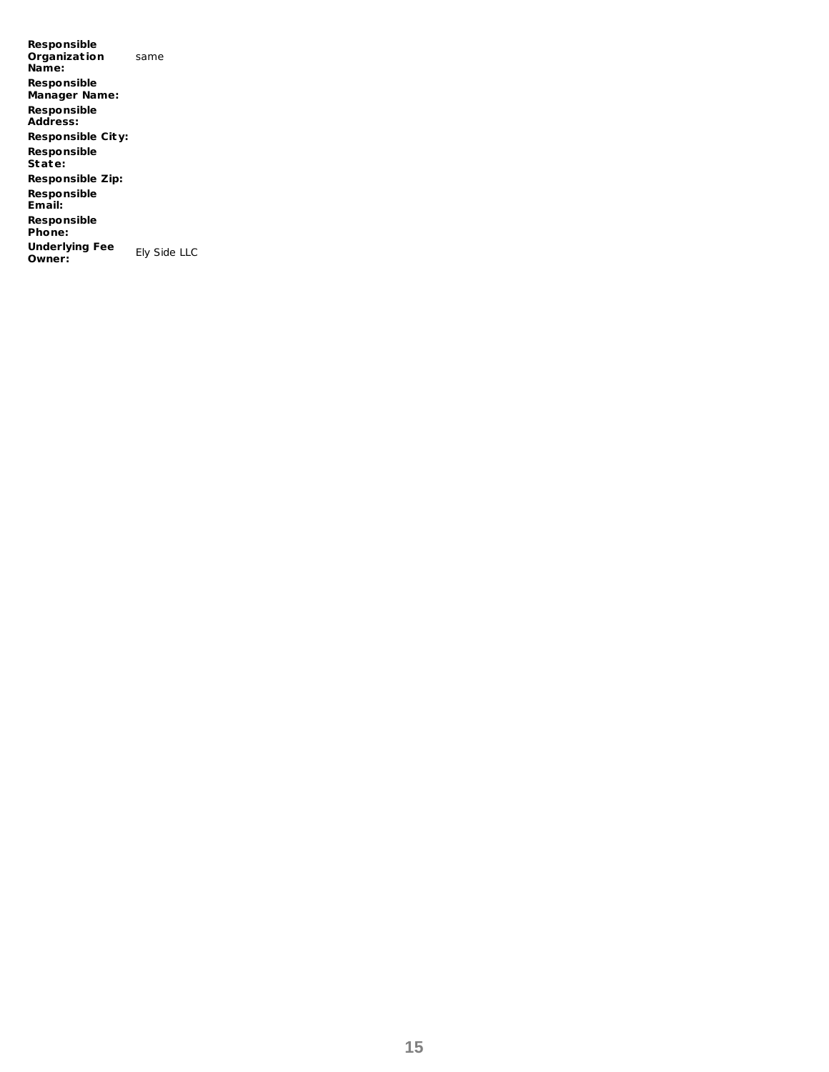**Responsible Organizat ion Name:** same **Responsible Manager Name: Responsible Address: Responsible City: Responsible State: Responsible Zip: Responsible Email: Responsible Phone: Underlying Fee Owner:** Ely Side LLC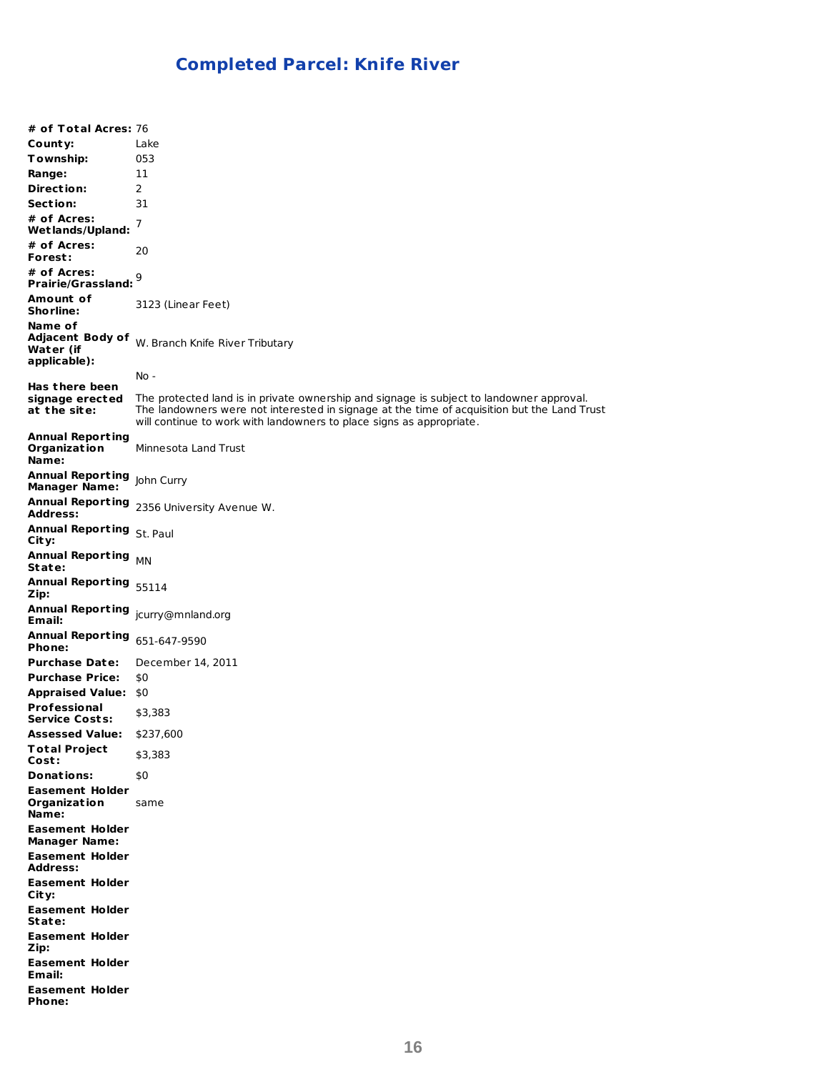# **Completed Parcel: Knife River**

**# of Total Acres:** 76 **County:** Lake **Township:** 053 **Range:** 11 **Direct ion:** 2 **Sect ion:** 31 **# of Acres: Wet lands/Upland:** 7 **# of Acres: Forest :** 20 **# of Acres: Prairie/Grassland:** 9 **Amount of Shorline:** 3123 (Linear Feet) **Name of Adjacent Body of Water (if** W. Branch Knife River Tributary **applicable): Has t here been signage erected at t he site:** No - The protected land is in private ownership and signage is subject to landowner approval. The landowners were not interested in signage at the time of acquisition but the Land Trust will continue to work with landowners to place signs as appropriate. **Annual Report ing Organizat ion Name:** Minnesota Land Trust **Annual Report ing** John Curry **Manager Name: Annual Report ing Address:** 2356 University Avenue W. **Annual Report ing** St. Paul **City: Annual Report ing State:** MN **Annual Report ing** 55114 **Zip: Annual Report ing** jcurry@mnland.org **Email: Annual Report ing** 651-647-9590 **Phone: Purchase Date:** December 14, 2011 **Purchase Price:** \$0 **Appraised Value:** \$0 **Professional Service Costs:** \$3,383 **Assessed Value:** \$237,600 **Total Project Cost :** \$3,383 **Donations:** \$0 **Easement Holder Organizat ion Name:** same **Easement Holder Manager Name: Easement Holder Address: Easement Holder City: Easement Holder State: Easement Holder Zip: Easement Holder Email: Easement Holder Phone:**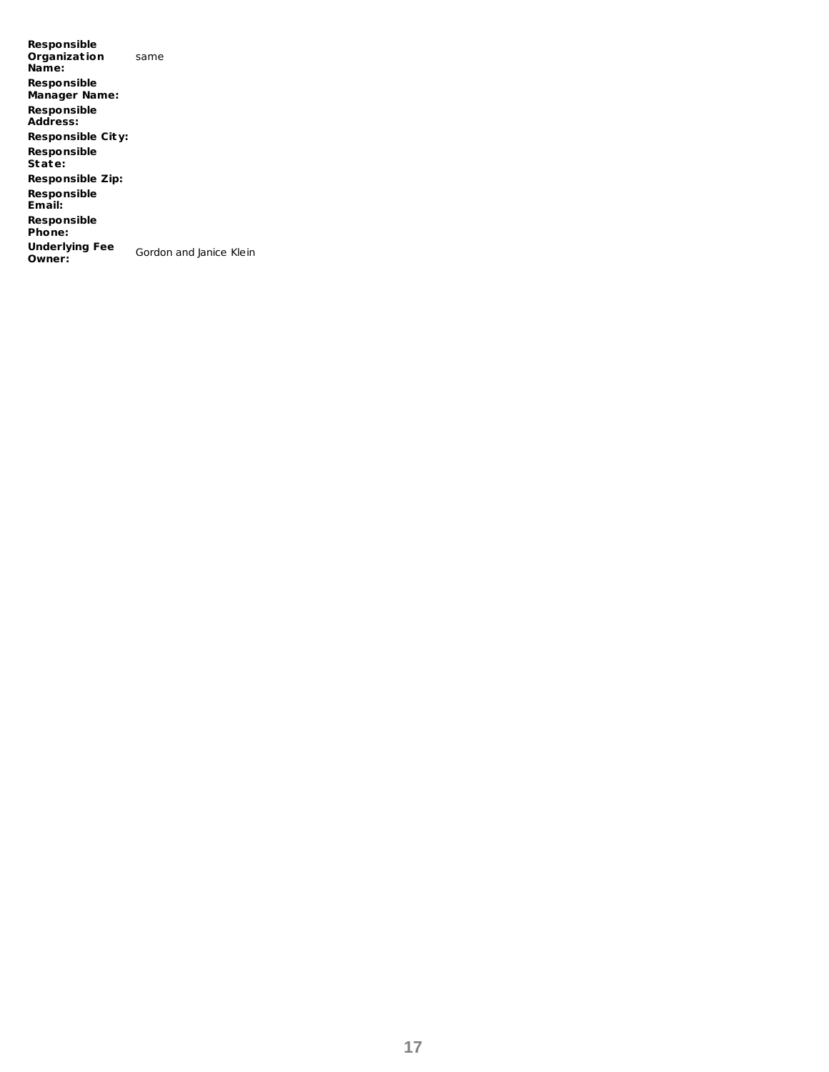**Responsible Organizat ion Name:** same **Responsible Manager Name: Responsible Address: Responsible City: Responsible State: Responsible Zip: Responsible Email: Responsible Phone: Underlying Fee** Gordon and Janice Klein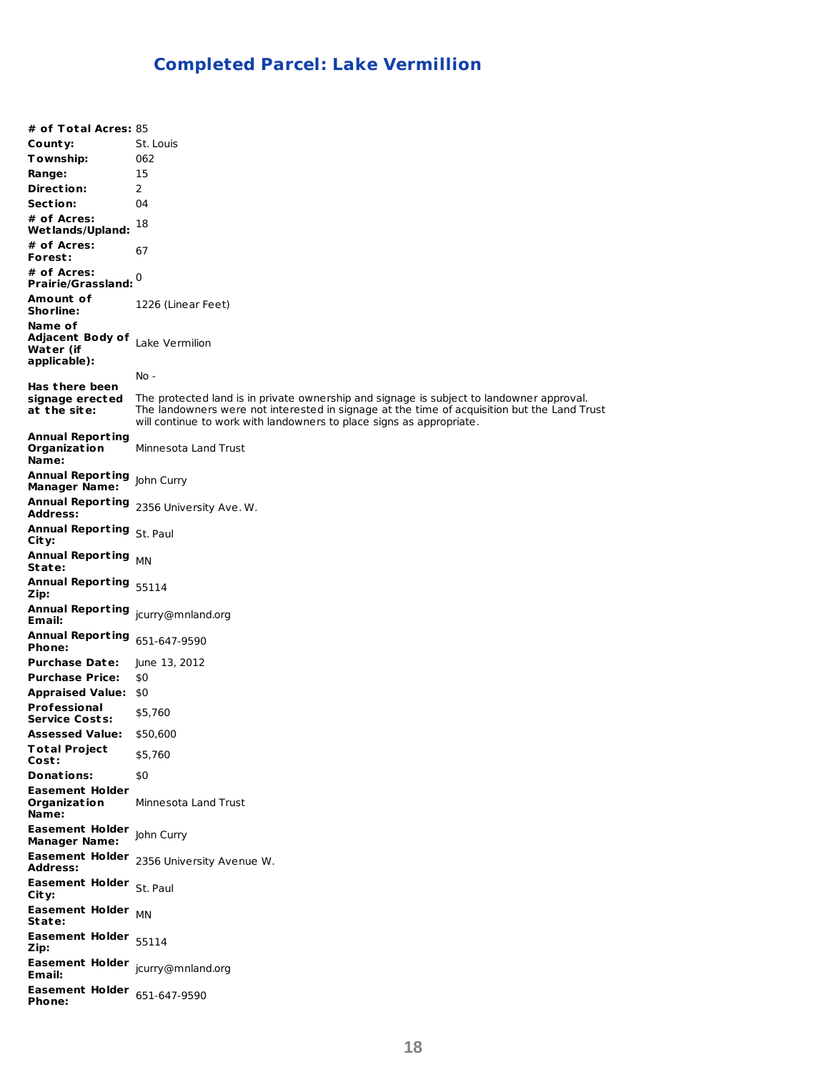# **Completed Parcel: Lake Vermillion**

**# of Total Acres:** 85 **County:** St. Louis **Township:** 062 **Range:** 15 **Direct ion:** 2 **Sect ion:** 04 **# of Acres: Wet lands/Upland:** 18 **# of Acres: Forest :** 67 **# of Acres: Prairie/Grassland:** 0 **Amount of Shorline:** 1226 (Linear Feet) **Name of Adjacent Body of** Lake Vermilion **Water (if applicable): Has t here been signage erected** The protected land is in private ownership and signage is subject to landowner approval. **at t he site:** No - The landowners were not interested in signage at the time of acquisition but the Land Trust will continue to work with landowners to place signs as appropriate. **Annual Report ing Organizat ion Name:** Minnesota Land Trust **Annual Report ing** John Curry **Manager Name: Annual Report ing** 2356 University Ave. W. **Address: Annual Report ing** St. Paul **City: Annual Report ing State:** MN **Annual Report ing** 55114 **Zip: Annual Report ing** jcurry@mnland.org **Email: Annual Report ing** 651-647-9590 **Phone: Purchase Date:** June 13, 2012 **Purchase Price:** \$0 **Appraised Value:** \$0 **Professional Service Costs:** \$5,760 **Assessed Value:** \$50,600 **Total Project Cost :** \$5,760 **Donations:** \$0 **Easement Holder Organizat ion Name:** Minnesota Land Trust **Easement Holder** John Curry **Manager Name: Easement Holder** 2356 University Avenue W. **Address: Easement Holder** St. Paul **City: Easement Holder State:** MN **Easement Holder** 55114 **Zip: Easement Holder** jcurry@mnland.org **Email: Easement Holder** 651-647-9590 **Phone:**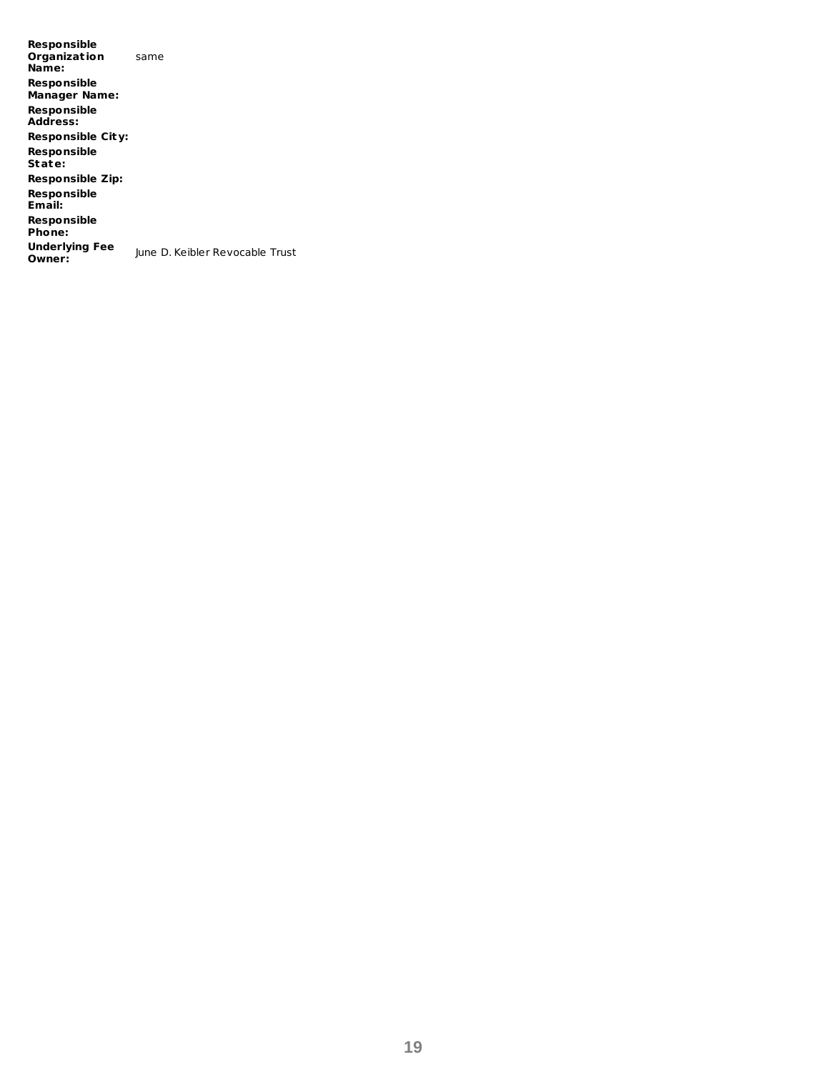**Responsible Organizat ion Name:** same **Responsible Manager Name: Responsible Address: Responsible City: Responsible State: Responsible Zip: Responsible Email: Responsible Phone: Underlying Fee Owner:** June D. Keibler Revocable Trust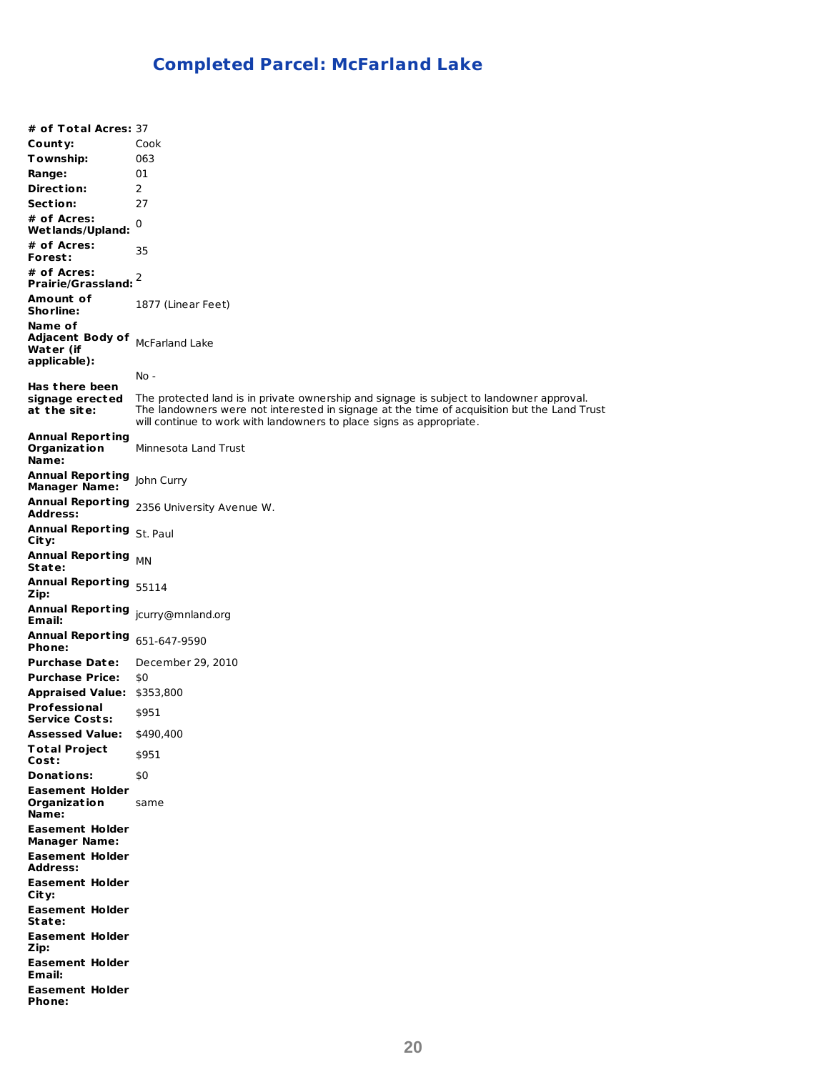# **Completed Parcel: McFarland Lake**

**# of Total Acres:** 37 **County:** Cook **Township:** 063 **Range:** 01 **Direct ion:** 2 **Sect ion:** 27 **# of Acres: Wet lands/Upland:** 0 **# of Acres: Forest :** 35 **# of Acres: Prairie/Grassland:** 2 **Amount of Shorline:** 1877 (Linear Feet) **Name of Adjacent Body of** McFarland Lake **Water (if applicable): Has t here been signage erected at t he site:** No - The protected land is in private ownership and signage is subject to landowner approval. The landowners were not interested in signage at the time of acquisition but the Land Trust will continue to work with landowners to place signs as appropriate. **Annual Report ing Organizat ion Name:** Minnesota Land Trust **Annual Report ing** John Curry **Manager Name: Annual Report ing Address:** 2356 University Avenue W. **Annual Report ing** St. Paul **City: Annual Report ing State:** MN **Annual Report ing** 55114 **Zip: Annual Report ing** jcurry@mnland.org **Email: Annual Report ing** 651-647-9590 **Phone: Purchase Date:** December 29, 2010 **Purchase Price:** \$0 **Appraised Value:** \$353,800 **Professional Service Costs:** \$951 **Assessed Value:** \$490,400 **Total Project Cost :** \$951 **Donations:** \$0 **Easement Holder Organizat ion Name:** same **Easement Holder Manager Name: Easement Holder Address: Easement Holder City: Easement Holder State: Easement Holder Zip: Easement Holder Email: Easement Holder Phone:**